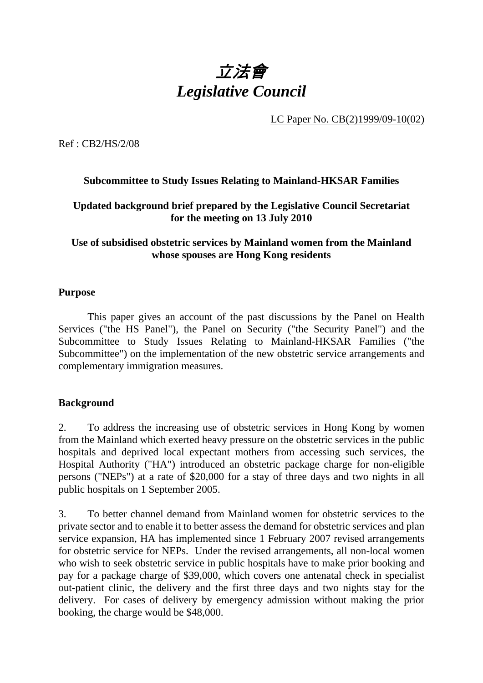

LC Paper No. CB(2)1999/09-10(02)

Ref : CB2/HS/2/08

## **Subcommittee to Study Issues Relating to Mainland-HKSAR Families**

## **Updated background brief prepared by the Legislative Council Secretariat for the meeting on 13 July 2010**

## **Use of subsidised obstetric services by Mainland women from the Mainland whose spouses are Hong Kong residents**

#### **Purpose**

 This paper gives an account of the past discussions by the Panel on Health Services ("the HS Panel"), the Panel on Security ("the Security Panel") and the Subcommittee to Study Issues Relating to Mainland-HKSAR Families ("the Subcommittee") on the implementation of the new obstetric service arrangements and complementary immigration measures.

#### **Background**

2. To address the increasing use of obstetric services in Hong Kong by women from the Mainland which exerted heavy pressure on the obstetric services in the public hospitals and deprived local expectant mothers from accessing such services, the Hospital Authority ("HA") introduced an obstetric package charge for non-eligible persons ("NEPs") at a rate of \$20,000 for a stay of three days and two nights in all public hospitals on 1 September 2005.

3. To better channel demand from Mainland women for obstetric services to the private sector and to enable it to better assess the demand for obstetric services and plan service expansion, HA has implemented since 1 February 2007 revised arrangements for obstetric service for NEPs. Under the revised arrangements, all non-local women who wish to seek obstetric service in public hospitals have to make prior booking and pay for a package charge of \$39,000, which covers one antenatal check in specialist out-patient clinic, the delivery and the first three days and two nights stay for the delivery. For cases of delivery by emergency admission without making the prior booking, the charge would be \$48,000.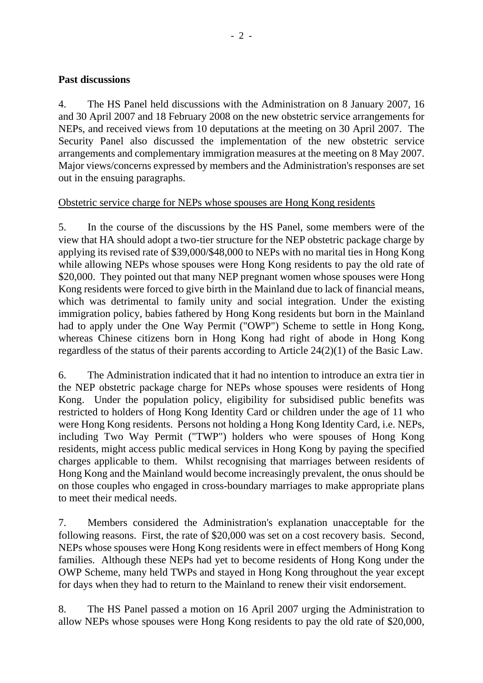#### **Past discussions**

4. The HS Panel held discussions with the Administration on 8 January 2007, 16 and 30 April 2007 and 18 February 2008 on the new obstetric service arrangements for NEPs, and received views from 10 deputations at the meeting on 30 April 2007. The Security Panel also discussed the implementation of the new obstetric service arrangements and complementary immigration measures at the meeting on 8 May 2007. Major views/concerns expressed by members and the Administration's responses are set out in the ensuing paragraphs.

#### Obstetric service charge for NEPs whose spouses are Hong Kong residents

5. In the course of the discussions by the HS Panel, some members were of the view that HA should adopt a two-tier structure for the NEP obstetric package charge by applying its revised rate of \$39,000/\$48,000 to NEPs with no marital ties in Hong Kong while allowing NEPs whose spouses were Hong Kong residents to pay the old rate of \$20,000. They pointed out that many NEP pregnant women whose spouses were Hong Kong residents were forced to give birth in the Mainland due to lack of financial means, which was detrimental to family unity and social integration. Under the existing immigration policy, babies fathered by Hong Kong residents but born in the Mainland had to apply under the One Way Permit ("OWP") Scheme to settle in Hong Kong, whereas Chinese citizens born in Hong Kong had right of abode in Hong Kong regardless of the status of their parents according to Article 24(2)(1) of the Basic Law.

6. The Administration indicated that it had no intention to introduce an extra tier in the NEP obstetric package charge for NEPs whose spouses were residents of Hong Kong. Under the population policy, eligibility for subsidised public benefits was restricted to holders of Hong Kong Identity Card or children under the age of 11 who were Hong Kong residents. Persons not holding a Hong Kong Identity Card, i.e. NEPs, including Two Way Permit ("TWP") holders who were spouses of Hong Kong residents, might access public medical services in Hong Kong by paying the specified charges applicable to them. Whilst recognising that marriages between residents of Hong Kong and the Mainland would become increasingly prevalent, the onus should be on those couples who engaged in cross-boundary marriages to make appropriate plans to meet their medical needs.

7. Members considered the Administration's explanation unacceptable for the following reasons. First, the rate of \$20,000 was set on a cost recovery basis. Second, NEPs whose spouses were Hong Kong residents were in effect members of Hong Kong families. Although these NEPs had yet to become residents of Hong Kong under the OWP Scheme, many held TWPs and stayed in Hong Kong throughout the year except for days when they had to return to the Mainland to renew their visit endorsement.

8. The HS Panel passed a motion on 16 April 2007 urging the Administration to allow NEPs whose spouses were Hong Kong residents to pay the old rate of \$20,000,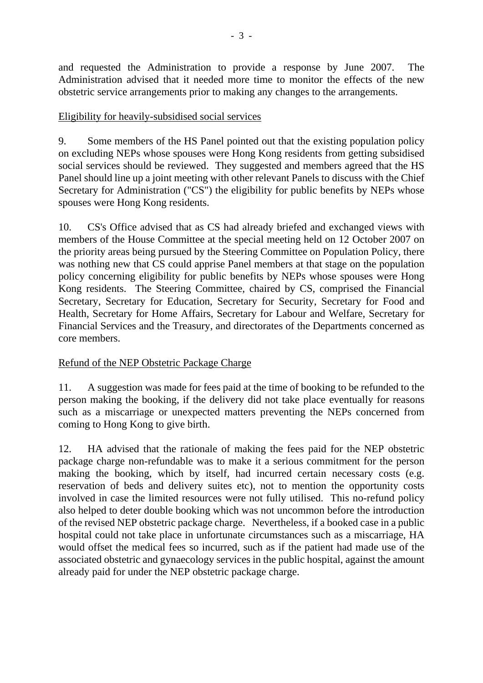and requested the Administration to provide a response by June 2007. The Administration advised that it needed more time to monitor the effects of the new obstetric service arrangements prior to making any changes to the arrangements.

## Eligibility for heavily-subsidised social services

9. Some members of the HS Panel pointed out that the existing population policy on excluding NEPs whose spouses were Hong Kong residents from getting subsidised social services should be reviewed. They suggested and members agreed that the HS Panel should line up a joint meeting with other relevant Panels to discuss with the Chief Secretary for Administration ("CS") the eligibility for public benefits by NEPs whose spouses were Hong Kong residents.

10. CS's Office advised that as CS had already briefed and exchanged views with members of the House Committee at the special meeting held on 12 October 2007 on the priority areas being pursued by the Steering Committee on Population Policy, there was nothing new that CS could apprise Panel members at that stage on the population policy concerning eligibility for public benefits by NEPs whose spouses were Hong Kong residents. The Steering Committee, chaired by CS, comprised the Financial Secretary, Secretary for Education, Secretary for Security, Secretary for Food and Health, Secretary for Home Affairs, Secretary for Labour and Welfare, Secretary for Financial Services and the Treasury, and directorates of the Departments concerned as core members.

## Refund of the NEP Obstetric Package Charge

11. A suggestion was made for fees paid at the time of booking to be refunded to the person making the booking, if the delivery did not take place eventually for reasons such as a miscarriage or unexpected matters preventing the NEPs concerned from coming to Hong Kong to give birth.

12. HA advised that the rationale of making the fees paid for the NEP obstetric package charge non-refundable was to make it a serious commitment for the person making the booking, which by itself, had incurred certain necessary costs (e.g. reservation of beds and delivery suites etc), not to mention the opportunity costs involved in case the limited resources were not fully utilised. This no-refund policy also helped to deter double booking which was not uncommon before the introduction of the revised NEP obstetric package charge. Nevertheless, if a booked case in a public hospital could not take place in unfortunate circumstances such as a miscarriage, HA would offset the medical fees so incurred, such as if the patient had made use of the associated obstetric and gynaecology services in the public hospital, against the amount already paid for under the NEP obstetric package charge.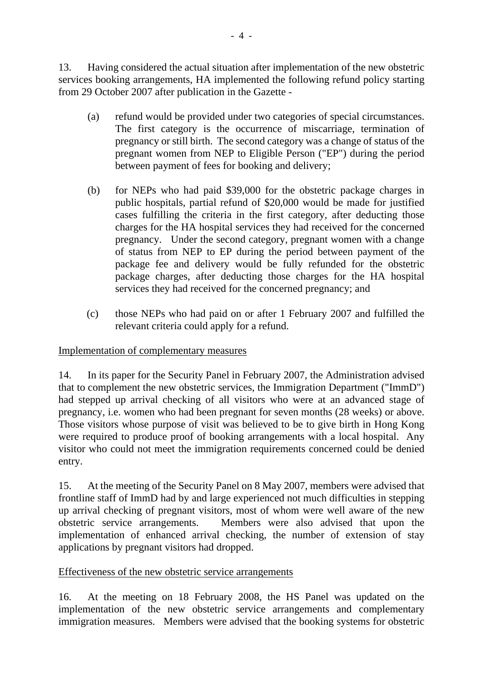13. Having considered the actual situation after implementation of the new obstetric services booking arrangements, HA implemented the following refund policy starting from 29 October 2007 after publication in the Gazette -

- (a) refund would be provided under two categories of special circumstances. The first category is the occurrence of miscarriage, termination of pregnancy or still birth. The second category was a change of status of the pregnant women from NEP to Eligible Person ("EP") during the period between payment of fees for booking and delivery;
- (b) for NEPs who had paid \$39,000 for the obstetric package charges in public hospitals, partial refund of \$20,000 would be made for justified cases fulfilling the criteria in the first category, after deducting those charges for the HA hospital services they had received for the concerned pregnancy. Under the second category, pregnant women with a change of status from NEP to EP during the period between payment of the package fee and delivery would be fully refunded for the obstetric package charges, after deducting those charges for the HA hospital services they had received for the concerned pregnancy; and
- (c) those NEPs who had paid on or after 1 February 2007 and fulfilled the relevant criteria could apply for a refund.

## Implementation of complementary measures

14. In its paper for the Security Panel in February 2007, the Administration advised that to complement the new obstetric services, the Immigration Department ("ImmD") had stepped up arrival checking of all visitors who were at an advanced stage of pregnancy, i.e. women who had been pregnant for seven months (28 weeks) or above. Those visitors whose purpose of visit was believed to be to give birth in Hong Kong were required to produce proof of booking arrangements with a local hospital. Any visitor who could not meet the immigration requirements concerned could be denied entry.

15. At the meeting of the Security Panel on 8 May 2007, members were advised that frontline staff of ImmD had by and large experienced not much difficulties in stepping up arrival checking of pregnant visitors, most of whom were well aware of the new obstetric service arrangements. Members were also advised that upon the implementation of enhanced arrival checking, the number of extension of stay applications by pregnant visitors had dropped.

## Effectiveness of the new obstetric service arrangements

16. At the meeting on 18 February 2008, the HS Panel was updated on the implementation of the new obstetric service arrangements and complementary immigration measures. Members were advised that the booking systems for obstetric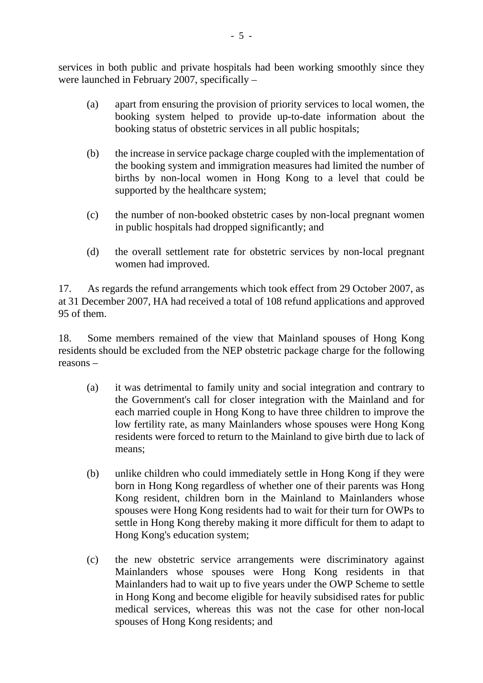services in both public and private hospitals had been working smoothly since they were launched in February 2007, specifically –

- (a) apart from ensuring the provision of priority services to local women, the booking system helped to provide up-to-date information about the booking status of obstetric services in all public hospitals;
- (b) the increase in service package charge coupled with the implementation of the booking system and immigration measures had limited the number of births by non-local women in Hong Kong to a level that could be supported by the healthcare system;
- (c) the number of non-booked obstetric cases by non-local pregnant women in public hospitals had dropped significantly; and
- (d) the overall settlement rate for obstetric services by non-local pregnant women had improved.

17. As regards the refund arrangements which took effect from 29 October 2007, as at 31 December 2007, HA had received a total of 108 refund applications and approved 95 of them.

18. Some members remained of the view that Mainland spouses of Hong Kong residents should be excluded from the NEP obstetric package charge for the following reasons –

- (a) it was detrimental to family unity and social integration and contrary to the Government's call for closer integration with the Mainland and for each married couple in Hong Kong to have three children to improve the low fertility rate, as many Mainlanders whose spouses were Hong Kong residents were forced to return to the Mainland to give birth due to lack of means;
- (b) unlike children who could immediately settle in Hong Kong if they were born in Hong Kong regardless of whether one of their parents was Hong Kong resident, children born in the Mainland to Mainlanders whose spouses were Hong Kong residents had to wait for their turn for OWPs to settle in Hong Kong thereby making it more difficult for them to adapt to Hong Kong's education system;
- (c) the new obstetric service arrangements were discriminatory against Mainlanders whose spouses were Hong Kong residents in that Mainlanders had to wait up to five years under the OWP Scheme to settle in Hong Kong and become eligible for heavily subsidised rates for public medical services, whereas this was not the case for other non-local spouses of Hong Kong residents; and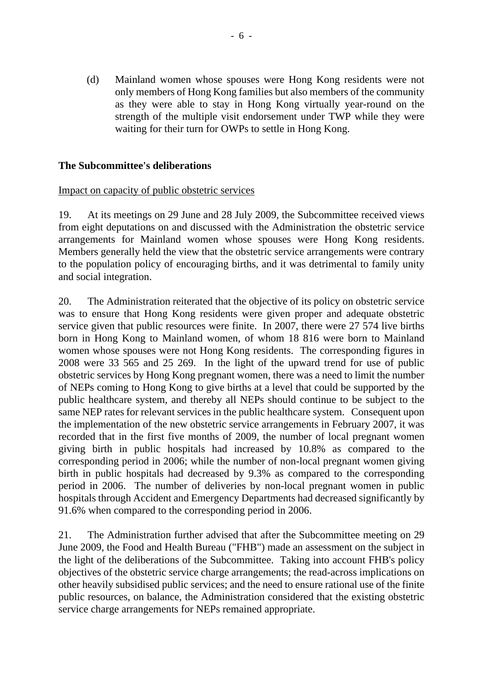(d) Mainland women whose spouses were Hong Kong residents were not only members of Hong Kong families but also members of the community as they were able to stay in Hong Kong virtually year-round on the strength of the multiple visit endorsement under TWP while they were waiting for their turn for OWPs to settle in Hong Kong.

#### **The Subcommittee's deliberations**

#### Impact on capacity of public obstetric services

19. At its meetings on 29 June and 28 July 2009, the Subcommittee received views from eight deputations on and discussed with the Administration the obstetric service arrangements for Mainland women whose spouses were Hong Kong residents. Members generally held the view that the obstetric service arrangements were contrary to the population policy of encouraging births, and it was detrimental to family unity and social integration.

20. The Administration reiterated that the objective of its policy on obstetric service was to ensure that Hong Kong residents were given proper and adequate obstetric service given that public resources were finite. In 2007, there were 27 574 live births born in Hong Kong to Mainland women, of whom 18 816 were born to Mainland women whose spouses were not Hong Kong residents. The corresponding figures in 2008 were 33 565 and 25 269. In the light of the upward trend for use of public obstetric services by Hong Kong pregnant women, there was a need to limit the number of NEPs coming to Hong Kong to give births at a level that could be supported by the public healthcare system, and thereby all NEPs should continue to be subject to the same NEP rates for relevant services in the public healthcare system. Consequent upon the implementation of the new obstetric service arrangements in February 2007, it was recorded that in the first five months of 2009, the number of local pregnant women giving birth in public hospitals had increased by 10.8% as compared to the corresponding period in 2006; while the number of non-local pregnant women giving birth in public hospitals had decreased by 9.3% as compared to the corresponding period in 2006. The number of deliveries by non-local pregnant women in public hospitals through Accident and Emergency Departments had decreased significantly by 91.6% when compared to the corresponding period in 2006.

21. The Administration further advised that after the Subcommittee meeting on 29 June 2009, the Food and Health Bureau ("FHB") made an assessment on the subject in the light of the deliberations of the Subcommittee. Taking into account FHB's policy objectives of the obstetric service charge arrangements; the read-across implications on other heavily subsidised public services; and the need to ensure rational use of the finite public resources, on balance, the Administration considered that the existing obstetric service charge arrangements for NEPs remained appropriate.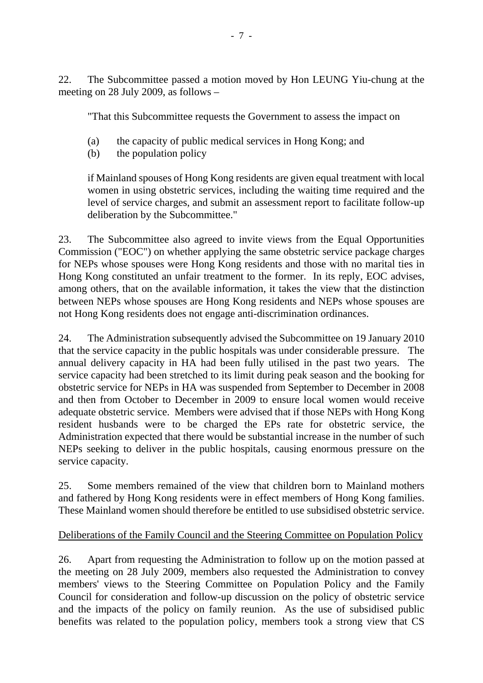22. The Subcommittee passed a motion moved by Hon LEUNG Yiu-chung at the meeting on 28 July 2009, as follows –

"That this Subcommittee requests the Government to assess the impact on

- (a) the capacity of public medical services in Hong Kong; and
- (b) the population policy

if Mainland spouses of Hong Kong residents are given equal treatment with local women in using obstetric services, including the waiting time required and the level of service charges, and submit an assessment report to facilitate follow-up deliberation by the Subcommittee."

23. The Subcommittee also agreed to invite views from the Equal Opportunities Commission ("EOC") on whether applying the same obstetric service package charges for NEPs whose spouses were Hong Kong residents and those with no marital ties in Hong Kong constituted an unfair treatment to the former. In its reply, EOC advises, among others, that on the available information, it takes the view that the distinction between NEPs whose spouses are Hong Kong residents and NEPs whose spouses are not Hong Kong residents does not engage anti-discrimination ordinances.

24. The Administration subsequently advised the Subcommittee on 19 January 2010 that the service capacity in the public hospitals was under considerable pressure. The annual delivery capacity in HA had been fully utilised in the past two years. The service capacity had been stretched to its limit during peak season and the booking for obstetric service for NEPs in HA was suspended from September to December in 2008 and then from October to December in 2009 to ensure local women would receive adequate obstetric service. Members were advised that if those NEPs with Hong Kong resident husbands were to be charged the EPs rate for obstetric service, the Administration expected that there would be substantial increase in the number of such NEPs seeking to deliver in the public hospitals, causing enormous pressure on the service capacity.

25. Some members remained of the view that children born to Mainland mothers and fathered by Hong Kong residents were in effect members of Hong Kong families. These Mainland women should therefore be entitled to use subsidised obstetric service.

#### Deliberations of the Family Council and the Steering Committee on Population Policy

26. Apart from requesting the Administration to follow up on the motion passed at the meeting on 28 July 2009, members also requested the Administration to convey members' views to the Steering Committee on Population Policy and the Family Council for consideration and follow-up discussion on the policy of obstetric service and the impacts of the policy on family reunion. As the use of subsidised public benefits was related to the population policy, members took a strong view that CS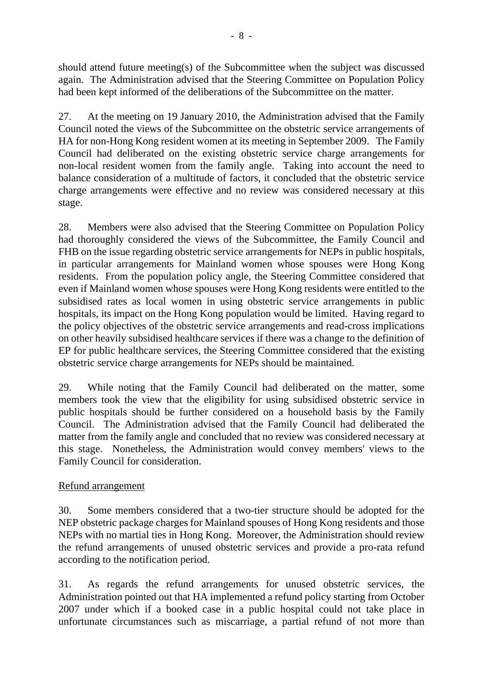should attend future meeting(s) of the Subcommittee when the subject was discussed again. The Administration advised that the Steering Committee on Population Policy had been kept informed of the deliberations of the Subcommittee on the matter.

27. At the meeting on 19 January 2010, the Administration advised that the Family Council noted the views of the Subcommittee on the obstetric service arrangements of HA for non-Hong Kong resident women at its meeting in September 2009. The Family Council had deliberated on the existing obstetric service charge arrangements for non-local resident women from the family angle. Taking into account the need to balance consideration of a multitude of factors, it concluded that the obstetric service charge arrangements were effective and no review was considered necessary at this stage.

28. Members were also advised that the Steering Committee on Population Policy had thoroughly considered the views of the Subcommittee, the Family Council and FHB on the issue regarding obstetric service arrangements for NEPs in public hospitals, in particular arrangements for Mainland women whose spouses were Hong Kong residents. From the population policy angle, the Steering Committee considered that even if Mainland women whose spouses were Hong Kong residents were entitled to the subsidised rates as local women in using obstetric service arrangements in public hospitals, its impact on the Hong Kong population would be limited. Having regard to the policy objectives of the obstetric service arrangements and read-cross implications on other heavily subsidised healthcare services if there was a change to the definition of EP for public healthcare services, the Steering Committee considered that the existing obstetric service charge arrangements for NEPs should be maintained.

29. While noting that the Family Council had deliberated on the matter, some members took the view that the eligibility for using subsidised obstetric service in public hospitals should be further considered on a household basis by the Family Council. The Administration advised that the Family Council had deliberated the matter from the family angle and concluded that no review was considered necessary at this stage. Nonetheless, the Administration would convey members' views to the Family Council for consideration.

## Refund arrangement

30. Some members considered that a two-tier structure should be adopted for the NEP obstetric package charges for Mainland spouses of Hong Kong residents and those NEPs with no martial ties in Hong Kong. Moreover, the Administration should review the refund arrangements of unused obstetric services and provide a pro-rata refund according to the notification period.

31. As regards the refund arrangements for unused obstetric services, the Administration pointed out that HA implemented a refund policy starting from October 2007 under which if a booked case in a public hospital could not take place in unfortunate circumstances such as miscarriage, a partial refund of not more than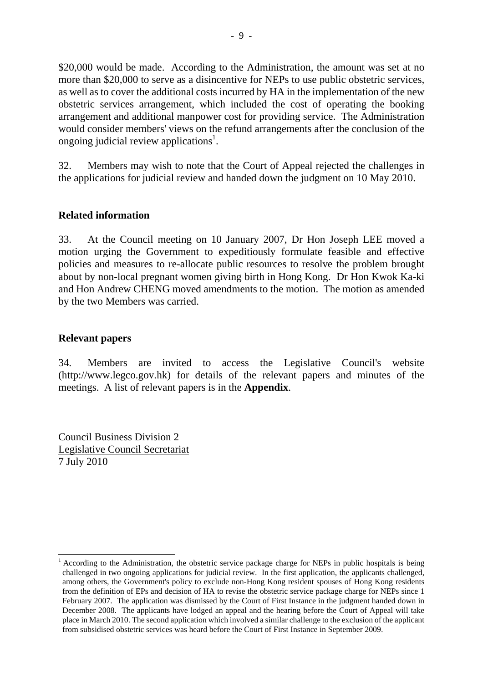\$20,000 would be made. According to the Administration, the amount was set at no more than \$20,000 to serve as a disincentive for NEPs to use public obstetric services, as well as to cover the additional costs incurred by HA in the implementation of the new obstetric services arrangement, which included the cost of operating the booking arrangement and additional manpower cost for providing service. The Administration would consider members' views on the refund arrangements after the conclusion of the ongoing judicial review applications<sup>1</sup>.

32. Members may wish to note that the Court of Appeal rejected the challenges in the applications for judicial review and handed down the judgment on 10 May 2010.

## **Related information**

33. At the Council meeting on 10 January 2007, Dr Hon Joseph LEE moved a motion urging the Government to expeditiously formulate feasible and effective policies and measures to re-allocate public resources to resolve the problem brought about by non-local pregnant women giving birth in Hong Kong. Dr Hon Kwok Ka-ki and Hon Andrew CHENG moved amendments to the motion. The motion as amended by the two Members was carried.

#### **Relevant papers**

-

34. Members are invited to access the Legislative Council's website (http://www.legco.gov.hk) for details of the relevant papers and minutes of the meetings. A list of relevant papers is in the **Appendix**.

Council Business Division 2 Legislative Council Secretariat 7 July 2010

<sup>1</sup> According to the Administration, the obstetric service package charge for NEPs in public hospitals is being challenged in two ongoing applications for judicial review. In the first application, the applicants challenged, among others, the Government's policy to exclude non-Hong Kong resident spouses of Hong Kong residents from the definition of EPs and decision of HA to revise the obstetric service package charge for NEPs since 1 February 2007. The application was dismissed by the Court of First Instance in the judgment handed down in December 2008. The applicants have lodged an appeal and the hearing before the Court of Appeal will take place in March 2010. The second application which involved a similar challenge to the exclusion of the applicant from subsidised obstetric services was heard before the Court of First Instance in September 2009.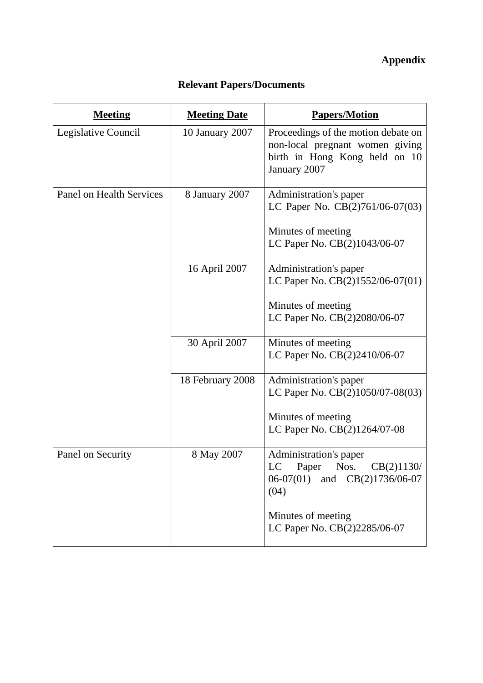# **Appendix**

## **Relevant Papers/Documents**

| <b>Meeting</b>                  | <b>Meeting Date</b> | <b>Papers/Motion</b>                                                                                                    |
|---------------------------------|---------------------|-------------------------------------------------------------------------------------------------------------------------|
| Legislative Council             | 10 January 2007     | Proceedings of the motion debate on<br>non-local pregnant women giving<br>birth in Hong Kong held on 10<br>January 2007 |
| <b>Panel on Health Services</b> | 8 January 2007      | Administration's paper<br>LC Paper No. CB(2)761/06-07(03)                                                               |
|                                 |                     | Minutes of meeting<br>LC Paper No. CB(2)1043/06-07                                                                      |
|                                 | 16 April 2007       | Administration's paper<br>LC Paper No. CB(2)1552/06-07(01)                                                              |
|                                 |                     | Minutes of meeting<br>LC Paper No. CB(2)2080/06-07                                                                      |
|                                 | 30 April 2007       | Minutes of meeting<br>LC Paper No. CB(2)2410/06-07                                                                      |
|                                 | 18 February 2008    | Administration's paper<br>LC Paper No. CB(2)1050/07-08(03)                                                              |
|                                 |                     | Minutes of meeting<br>LC Paper No. CB(2)1264/07-08                                                                      |
| Panel on Security               | 8 May 2007          | Administration's paper<br>LC<br>Paper Nos. $CB(2)1130/$<br>06-07(01) and CB(2)1736/06-07<br>(04)                        |
|                                 |                     | Minutes of meeting<br>LC Paper No. CB(2)2285/06-07                                                                      |